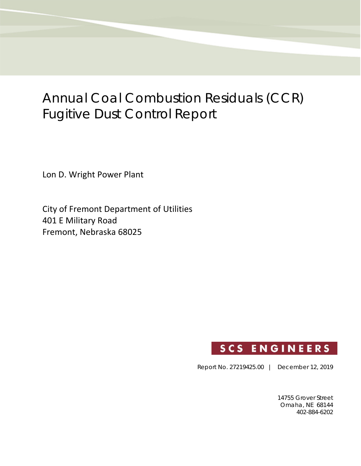# Annual Coal Combustion Residuals (CCR) Fugitive Dust Control Report

Lon D. Wright Power Plant

City of Fremont Department of Utilities 401 E Military Road Fremont, Nebraska 68025



Report No. 27219425.00 | December 12, 2019

14755 Grover Street Omaha, NE 68144 402-884-6202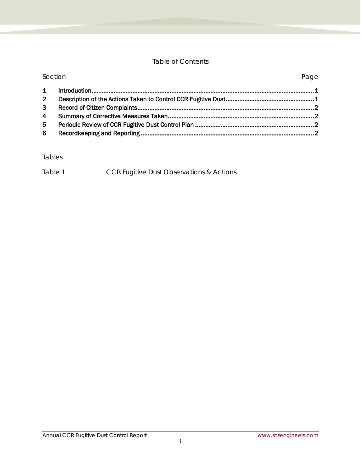#### Table of Contents

| Section        |  | Page |
|----------------|--|------|
| $\mathbf 1$    |  |      |
| 2 <sup>7</sup> |  |      |
| 3 <sup>1</sup> |  |      |
| $\overline{4}$ |  |      |
| 5              |  |      |
| 6              |  |      |

#### Tables

| Table 1 | <b>CCR Fugitive Dust Observations &amp; Actions</b> |
|---------|-----------------------------------------------------|
|---------|-----------------------------------------------------|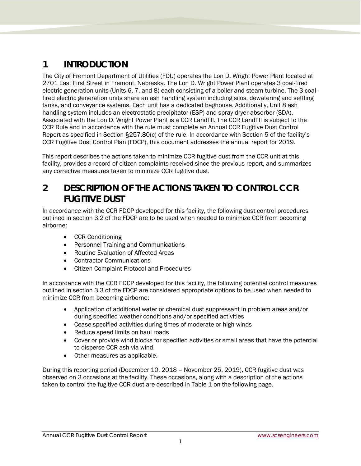#### <span id="page-2-0"></span>**1 INTRODUCTION**

The City of Fremont Department of Utilities (FDU) operates the Lon D. Wright Power Plant located at 2701 East First Street in Fremont, Nebraska. The Lon D. Wright Power Plant operates 3 coal-fired electric generation units (Units 6, 7, and 8) each consisting of a boiler and steam turbine. The 3 coalfired electric generation units share an ash handling system including silos, dewatering and settling tanks, and conveyance systems. Each unit has a dedicated baghouse. Additionally, Unit 8 ash handling system includes an electrostatic precipitator (ESP) and spray dryer absorber (SDA). Associated with the Lon D. Wright Power Plant is a CCR Landfill. The CCR Landfill is subject to the CCR Rule and in accordance with the rule must complete an Annual CCR Fugitive Dust Control Report as specified in Section §257.80(c) of the rule. In accordance with Section 5 of the facility's CCR Fugitive Dust Control Plan (FDCP), this document addresses the annual report for 2019.

This report describes the actions taken to minimize CCR fugitive dust from the CCR unit at this facility, provides a record of citizen complaints received since the previous report, and summarizes any corrective measures taken to minimize CCR fugitive dust.

#### <span id="page-2-1"></span>**2 DESCRIPTION OF THE ACTIONS TAKEN TO CONTROL CCR FUGITIVE DUST**

In accordance with the CCR FDCP developed for this facility, the following dust control procedures outlined in section 3.2 of the FDCP are to be used when needed to minimize CCR from becoming airborne:

- CCR Conditioning
- Personnel Training and Communications
- Routine Evaluation of Affected Areas
- Contractor Communications
- Citizen Complaint Protocol and Procedures

In accordance with the CCR FDCP developed for this facility, the following potential control measures outlined in section 3.3 of the FDCP are considered appropriate options to be used when needed to minimize CCR from becoming airborne:

- Application of additional water or chemical dust suppressant in problem areas and/or during specified weather conditions and/or specified activities
- Cease specified activities during times of moderate or high winds
- Reduce speed limits on haul roads
- Cover or provide wind blocks for specified activities or small areas that have the potential to disperse CCR ash via wind.
- Other measures as applicable.

During this reporting period (December 10, 2018 – November 25, 2019), CCR fugitive dust was observed on 3 occasions at the facility. These occasions, along with a description of the actions taken to control the fugitive CCR dust are described in Table 1 on the following page.